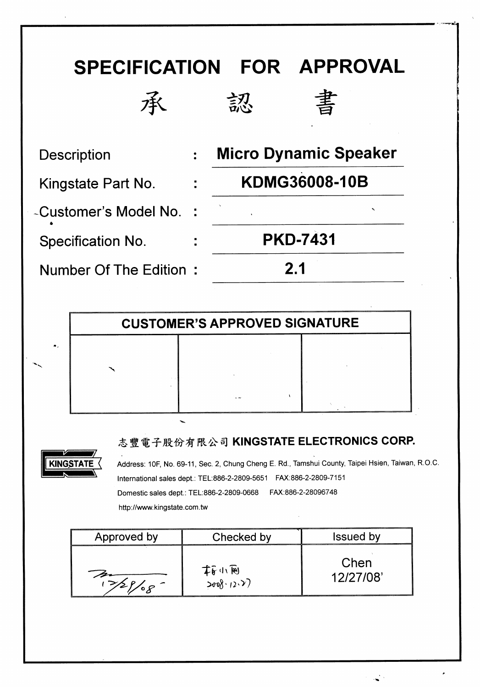

|             | <b>CUSTOMER'S APPROVED SIGNATURE</b> |  |  |  |  |  |
|-------------|--------------------------------------|--|--|--|--|--|
| $\bullet$ . |                                      |  |  |  |  |  |
|             |                                      |  |  |  |  |  |
|             |                                      |  |  |  |  |  |

#### 志豐電子股份有限公司 KINGSTATE ELECTRONICS CORP.



Address: 10F, No. 69-11, Sec. 2, Chung Cheng E. Rd., Tamshui County, Taipei Hsien, Taiwan, R.O.C. International sales dept.: TEL:886-2-2809-5651 FAX:886-2-2809-7151 Domestic sales dept.: TEL:886-2-2809-0668 FAX:886-2-28096748 http://www.kingstate.com.tw

| Approved by           | Checked by         | <b>Issued by</b>  |
|-----------------------|--------------------|-------------------|
| $\circ$ $\mathcal{L}$ | 本的心网<br>2008.12.7) | Chen<br>12/27/08' |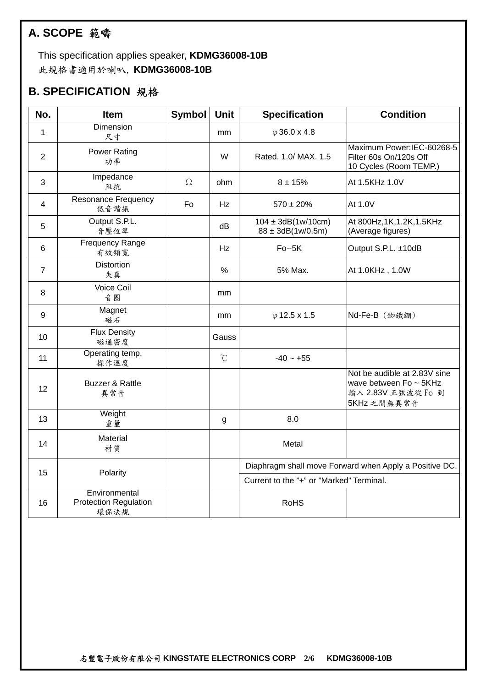# **A. SCOPE** 範疇

 This specification applies speaker, **KDMG36008-10B**  此規格書適用於喇叭, **KDMG36008-10B** 

#### **B. SPECIFICATION** 規格

| No.            | <b>Item</b>                                           | <b>Symbol</b> | Unit                 | <b>Specification</b>                                | <b>Condition</b>                                                                            |
|----------------|-------------------------------------------------------|---------------|----------------------|-----------------------------------------------------|---------------------------------------------------------------------------------------------|
| 1              | Dimension<br>尺寸                                       |               | mm                   | $\varphi$ 36.0 x 4.8                                |                                                                                             |
| $\overline{2}$ | <b>Power Rating</b><br>功率                             |               | W                    | Rated. 1.0/ MAX. 1.5                                | Maximum Power:IEC-60268-5<br>Filter 60s On/120s Off<br>10 Cycles (Room TEMP.)               |
| 3              | Impedance<br>阻抗                                       | $\Omega$      | ohm                  | $8 + 15%$                                           | At 1.5KHz 1.0V                                                                              |
| 4              | Resonance Frequency<br>低音諧振                           | Fo            | Hz                   | $570 \pm 20\%$                                      | At 1.0V                                                                                     |
| 5              | Output S.P.L.<br>音壓位準                                 |               | dВ                   | $104 \pm 3dB(1w/10cm)$<br>$88 \pm 3$ dB $(1w/0.5m)$ | At 800Hz, 1K, 1.2K, 1.5KHz<br>(Average figures)                                             |
| 6              | <b>Frequency Range</b><br>有效頻寬                        |               | Hz                   | $Fo-5K$                                             | Output S.P.L. ±10dB                                                                         |
| $\overline{7}$ | <b>Distortion</b><br>失真                               |               | $\frac{0}{0}$        | 5% Max.                                             | At 1.0KHz, 1.0W                                                                             |
| 8              | <b>Voice Coil</b><br>音圈                               |               | mm                   |                                                     |                                                                                             |
| 9              | Magnet<br>磁石                                          |               | mm                   | $\varphi$ 12.5 x 1.5                                |                                                                                             |
| 10             | <b>Flux Density</b><br>磁通密度                           |               | Gauss                |                                                     |                                                                                             |
| 11             | Operating temp.<br>操作溫度                               |               | $\mathrm{C}^{\circ}$ | $-40 - +55$                                         |                                                                                             |
| 12             | <b>Buzzer &amp; Rattle</b><br>異常音                     |               |                      |                                                     | Not be audible at 2.83V sine<br>wave between Fo ~ 5KHz<br>輸入 2.83V 正弦波從 Fo 到<br>5KHz 之間無異常音 |
| 13             | Weight<br>重量                                          |               | g                    | 8.0                                                 |                                                                                             |
| 14             | Material<br>材質                                        |               |                      | Metal                                               |                                                                                             |
| 15             | Polarity                                              |               |                      |                                                     | Diaphragm shall move Forward when Apply a Positive DC.                                      |
|                |                                                       |               |                      | Current to the "+" or "Marked" Terminal.            |                                                                                             |
| 16             | Environmental<br><b>Protection Regulation</b><br>環保法規 |               |                      | <b>RoHS</b>                                         |                                                                                             |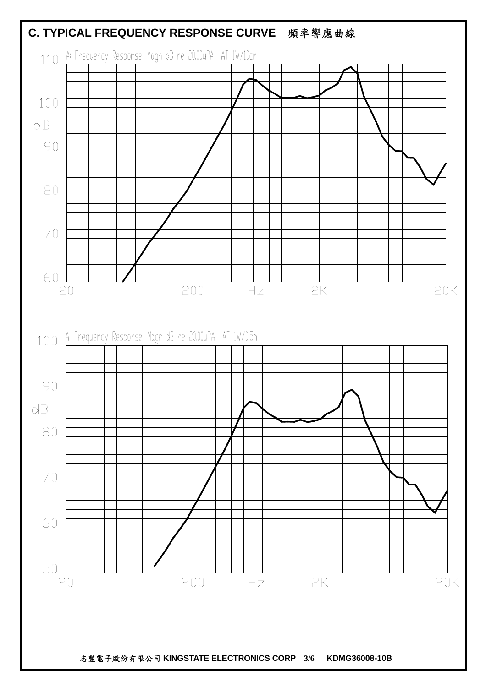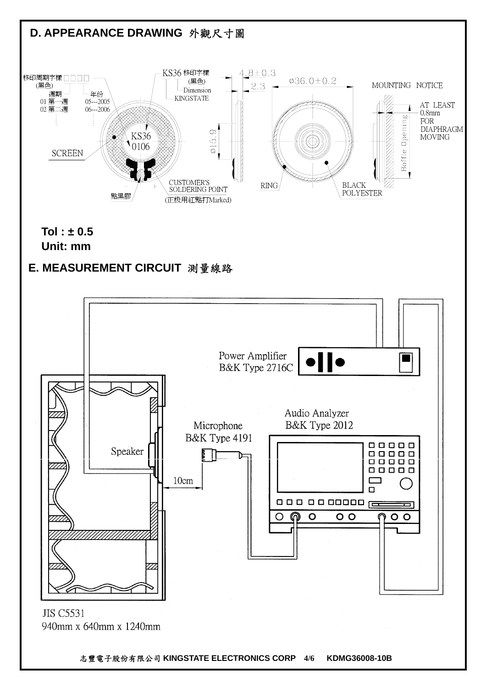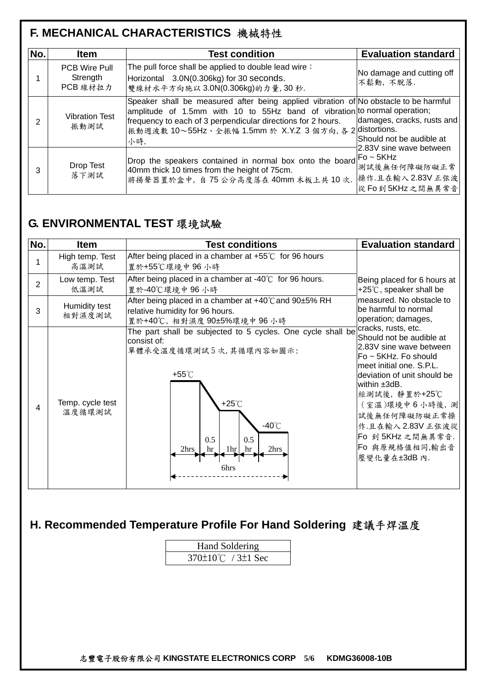# **F. MECHANICAL CHARACTERISTICS** 機械特性

| No.            | <b>Item</b>                                  | <b>Test condition</b>                                                                                                                                                                                                                                                                                | <b>Evaluation standard</b>                                                                                                             |
|----------------|----------------------------------------------|------------------------------------------------------------------------------------------------------------------------------------------------------------------------------------------------------------------------------------------------------------------------------------------------------|----------------------------------------------------------------------------------------------------------------------------------------|
|                | <b>PCB Wire Pull</b><br>Strength<br>PCB 線材拉力 | The pull force shall be applied to double lead wire:<br>Horizontal 3.0N(0.306kg) for 30 seconds.<br>雙線材水平方向施以 3.0N(0.306kg)的力量, 30秒.                                                                                                                                                                 | No damage and cutting off<br>不鬆動, 不脫落.                                                                                                 |
| $\overline{2}$ | <b>Vibration Test</b><br>振動測試                | Speaker shall be measured after being applied vibration of No obstacle to be harmful<br>amplitude of 1.5mm with 10 to 55Hz band of vibration to normal operation;<br>frequency to each of 3 perpendicular directions for 2 hours.<br> 振動週波數 10~55Hz、全振幅 1.5mm 於 X.Y.Z 3 個方向, 各 2 distortions.<br>小時. | damages, cracks, rusts and<br>Should not be audible at<br>2.83V sine wave between<br>測試後無任何障礙防礙正常<br>操作.且在輸入2.83V正弦波<br>從Fo到5KHz之間無異常音 |
| 3              | Drop Test<br>落下測試                            | Drop the speakers contained in normal box onto the board $F_0 \sim 5KHz$<br>40mm thick 10 times from the height of 75cm.<br>將揚聲器置於盒中, 自 75 公分高度落在 40mm 木板上共 10 次.                                                                                                                                    |                                                                                                                                        |

### **G. ENVIRONMENTAL TEST** 環境試驗

| No.            | <b>Item</b>                | <b>Test conditions</b>                                                                                                                                                                                                                      | <b>Evaluation standard</b>                                                                                                                                                                                                                                                        |
|----------------|----------------------------|---------------------------------------------------------------------------------------------------------------------------------------------------------------------------------------------------------------------------------------------|-----------------------------------------------------------------------------------------------------------------------------------------------------------------------------------------------------------------------------------------------------------------------------------|
|                | High temp. Test<br>高溫測試    | After being placed in a chamber at $+55^{\circ}$ for 96 hours<br>置於+55℃環境中 96 小時                                                                                                                                                            |                                                                                                                                                                                                                                                                                   |
| $\overline{2}$ | Low temp. Test<br>低溫測試     | After being placed in a chamber at $-40^{\circ}$ for 96 hours.<br>置於-40℃環境中 96 小時                                                                                                                                                           | Being placed for 6 hours at<br>+25 $\degree$ C, speaker shall be<br>measured. No obstacle to<br>be harmful to normal<br>operation; damages,                                                                                                                                       |
| 3              | Humidity test<br>相對濕度測試    | After being placed in a chamber at $+40^{\circ}$ C and 90 $\pm$ 5% RH<br>relative humidity for 96 hours.<br>置於+40℃, 相對濕度 90±5%環境中 96 小時                                                                                                     |                                                                                                                                                                                                                                                                                   |
| 4              | Temp. cycle test<br>溫度循環測試 | The part shall be subjected to 5 cycles. One cycle shall be cracks, rusts, etc.<br>consist of:<br>單體承受溫度循環測試5次,其循環內容如圖示:<br>+55 $\degree$ C<br>$+25^{\circ}$ C<br>$-40^{\circ}$ C<br>0.5<br>0.5<br>2hrs.<br>2hrs<br>1hr<br>hr<br>hr<br>6hrs | Should not be audible at<br>2.83V sine wave between<br>Fo ~ 5KHz. Fo should<br>meet initial one. S.P.L.<br>deviation of unit should be<br>lwithin ±3dB.<br>經測試後,靜置於+25℃<br>(室溫)環境中6小時後,測<br>試後無任何障礙防礙正常操<br>作.且在輸入2.83V正弦波從<br>Fo 到 5KHz 之間無異常音.<br>Fo 與原規格值相同,輸出音<br>壓變化量在±3dB內. |

# **H. Recommended Temperature Profile For Hand Soldering** 建議手焊溫度

| <b>Hand Soldering</b>          |  |  |  |  |
|--------------------------------|--|--|--|--|
| 370 $\pm$ 10°C / 3 $\pm$ 1 Sec |  |  |  |  |